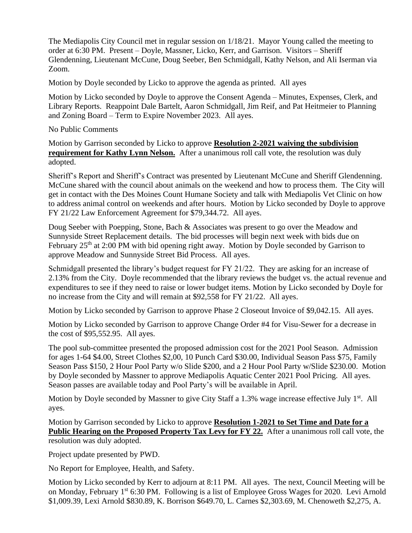The Mediapolis City Council met in regular session on 1/18/21. Mayor Young called the meeting to order at 6:30 PM. Present – Doyle, Massner, Licko, Kerr, and Garrison. Visitors – Sheriff Glendenning, Lieutenant McCune, Doug Seeber, Ben Schmidgall, Kathy Nelson, and Ali Iserman via Zoom.

Motion by Doyle seconded by Licko to approve the agenda as printed. All ayes

Motion by Licko seconded by Doyle to approve the Consent Agenda – Minutes, Expenses, Clerk, and Library Reports. Reappoint Dale Bartelt, Aaron Schmidgall, Jim Reif, and Pat Heitmeier to Planning and Zoning Board – Term to Expire November 2023. All ayes.

No Public Comments

Motion by Garrison seconded by Licko to approve **Resolution 2-2021 waiving the subdivision requirement for Kathy Lynn Nelson.** After a unanimous roll call vote, the resolution was duly adopted.

Sheriff's Report and Sheriff's Contract was presented by Lieutenant McCune and Sheriff Glendenning. McCune shared with the council about animals on the weekend and how to process them. The City will get in contact with the Des Moines Count Humane Society and talk with Mediapolis Vet Clinic on how to address animal control on weekends and after hours. Motion by Licko seconded by Doyle to approve FY 21/22 Law Enforcement Agreement for \$79,344.72. All ayes.

Doug Seeber with Poepping, Stone, Bach & Associates was present to go over the Meadow and Sunnyside Street Replacement details. The bid processes will begin next week with bids due on February  $25<sup>th</sup>$  at 2:00 PM with bid opening right away. Motion by Doyle seconded by Garrison to approve Meadow and Sunnyside Street Bid Process. All ayes.

Schmidgall presented the library's budget request for FY 21/22. They are asking for an increase of 2.13% from the City. Doyle recommended that the library reviews the budget vs. the actual revenue and expenditures to see if they need to raise or lower budget items. Motion by Licko seconded by Doyle for no increase from the City and will remain at \$92,558 for FY 21/22. All ayes.

Motion by Licko seconded by Garrison to approve Phase 2 Closeout Invoice of \$9,042.15. All ayes.

Motion by Licko seconded by Garrison to approve Change Order #4 for Visu-Sewer for a decrease in the cost of \$95,552.95. All ayes.

The pool sub-committee presented the proposed admission cost for the 2021 Pool Season. Admission for ages 1-64 \$4.00, Street Clothes \$2,00, 10 Punch Card \$30.00, Individual Season Pass \$75, Family Season Pass \$150, 2 Hour Pool Party w/o Slide \$200, and a 2 Hour Pool Party w/Slide \$230.00. Motion by Doyle seconded by Massner to approve Mediapolis Aquatic Center 2021 Pool Pricing. All ayes. Season passes are available today and Pool Party's will be available in April.

Motion by Doyle seconded by Massner to give City Staff a 1.3% wage increase effective July 1<sup>st</sup>. All ayes.

Motion by Garrison seconded by Licko to approve **Resolution 1-2021 to Set Time and Date for a Public Hearing on the Proposed Property Tax Levy for FY 22.** After a unanimous roll call vote, the resolution was duly adopted.

Project update presented by PWD.

No Report for Employee, Health, and Safety.

Motion by Licko seconded by Kerr to adjourn at 8:11 PM. All ayes. The next, Council Meeting will be on Monday, February 1<sup>st</sup> 6:30 PM. Following is a list of Employee Gross Wages for 2020. Levi Arnold \$1,009.39, Lexi Arnold \$830.89, K. Borrison \$649.70, L. Carnes \$2,303.69, M. Chenoweth \$2,275, A.